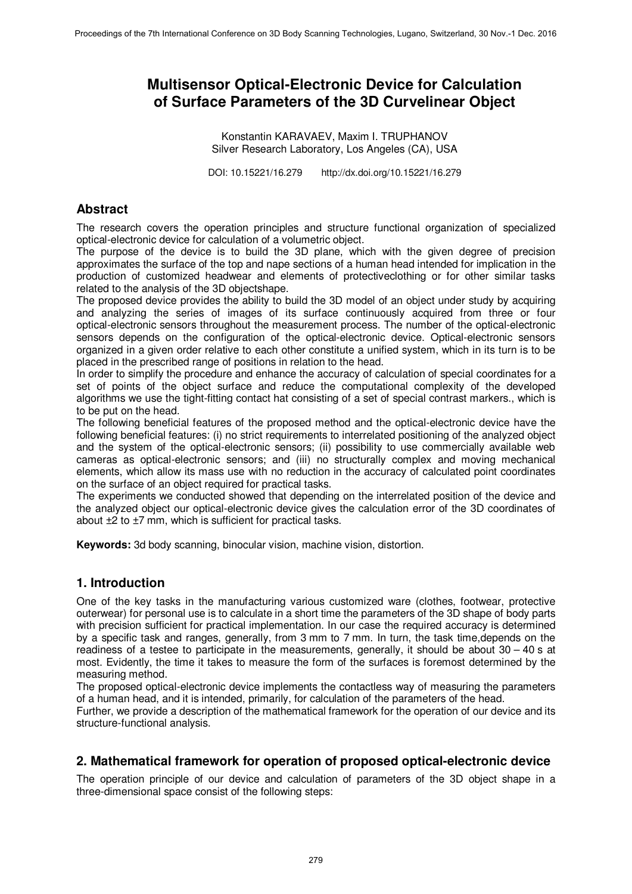# **Multisensor Optical-Electronic Device for Calculation of Surface Parameters of the 3D Curvelinear Object**

Konstantin KARAVAEV, Maxim I. TRUPHANOV Silver Research Laboratory, Los Angeles (CA), USA

DOI: 10.15221/16.279 http://dx.doi.org/10.15221/16.279

### **Abstract**

The research covers the operation principles and structure functional organization of specialized optical-electronic device for calculation of a volumetric object.

The purpose of the device is to build the 3D plane, which with the given degree of precision approximates the surface of the top and nape sections of a human head intended for implication in the production of customized headwear and elements of protectiveclothing or for other similar tasks related to the analysis of the 3D objectshape.

The proposed device provides the ability to build the 3D model of an object under study by acquiring and analyzing the series of images of its surface continuously acquired from three or four optical-electronic sensors throughout the measurement process. The number of the optical-electronic sensors depends on the configuration of the optical-electronic device. Optical-electronic sensors organized in a given order relative to each other constitute a unified system, which in its turn is to be placed in the prescribed range of positions in relation to the head.

In order to simplify the procedure and enhance the accuracy of calculation of special coordinates for a set of points of the object surface and reduce the computational complexity of the developed algorithms we use the tight-fitting contact hat consisting of a set of special contrast markers., which is to be put on the head.

The following beneficial features of the proposed method and the optical-electronic device have the following beneficial features: (i) no strict requirements to interrelated positioning of the analyzed object and the system of the optical-electronic sensors; (ii) possibility to use commercially available web cameras as optical-electronic sensors; and (iii) no structurally complex and moving mechanical elements, which allow its mass use with no reduction in the accuracy of calculated point coordinates on the surface of an object required for practical tasks.

The experiments we conducted showed that depending on the interrelated position of the device and the analyzed object our optical-electronic device gives the calculation error of the 3D coordinates of about ±2 to ±7 mm, which is sufficient for practical tasks.

**Keywords:** 3d body scanning, binocular vision, machine vision, distortion.

### **1. Introduction**

One of the key tasks in the manufacturing various customized ware (clothes, footwear, protective outerwear) for personal use is to calculate in a short time the parameters of the 3D shape of body parts with precision sufficient for practical implementation. In our case the required accuracy is determined by a specific task and ranges, generally, from 3 mm to 7 mm. In turn, the task time,depends on the readiness of a testee to participate in the measurements, generally, it should be about 30 – 40 s at most. Evidently, the time it takes to measure the form of the surfaces is foremost determined by the measuring method.

The proposed optical-electronic device implements the contactless way of measuring the parameters of a human head, and it is intended, primarily, for calculation of the parameters of the head.

Further, we provide a description of the mathematical framework for the operation of our device and its structure-functional analysis.

### **2. Mathematical framework for operation of proposed optical-electronic device**

The operation principle of our device and calculation of parameters of the 3D object shape in a three-dimensional space consist of the following steps: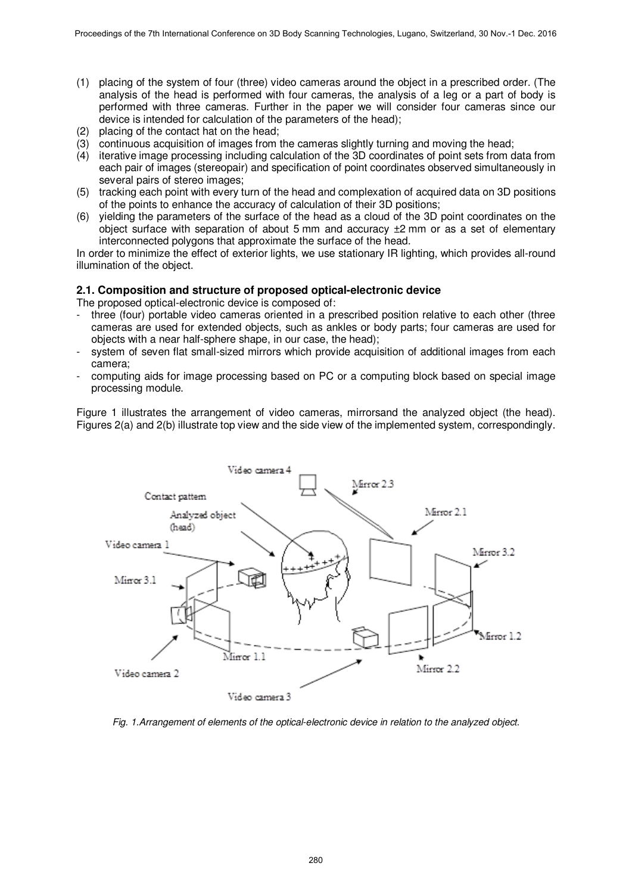- (1) placing of the system of four (three) video cameras around the object in a prescribed order. (The analysis of the head is performed with four cameras, the analysis of a leg or a part of body is performed with three cameras. Further in the paper we will consider four cameras since our device is intended for calculation of the parameters of the head);
- 
- (2) placing of the contact hat on the head;<br>(3) continuous acquisition of images from (3) continuous acquisition of images from the cameras slightly turning and moving the head;
- (4) iterative image processing including calculation of the 3D coordinates of point sets from data from each pair of images (stereopair) and specification of point coordinates observed simultaneously in several pairs of stereo images;
- (5) tracking each point with every turn of the head and complexation of acquired data on 3D positions of the points to enhance the accuracy of calculation of their 3D positions;
- (6) yielding the parameters of the surface of the head as a cloud of the 3D point coordinates on the object surface with separation of about 5 mm and accuracy  $\pm 2$  mm or as a set of elementary interconnected polygons that approximate the surface of the head.

In order to minimize the effect of exterior lights, we use stationary IR lighting, which provides all-round illumination of the object.

#### **2.1. Composition and structure of proposed optical-electronic device**

The proposed optical-electronic device is composed of:

- three (four) portable video cameras oriented in a prescribed position relative to each other (three cameras are used for extended objects, such as ankles or body parts; four cameras are used for objects with a near half-sphere shape, in our case, the head);
- system of seven flat small-sized mirrors which provide acquisition of additional images from each camera;
- computing aids for image processing based on PC or a computing block based on special image processing module.

Figure 1 illustrates the arrangement of video cameras, mirrorsand the analyzed object (the head). Figures 2(a) and 2(b) illustrate top view and the side view of the implemented system, correspondingly.



Fig. 1.Arrangement of elements of the optical-electronic device in relation to the analyzed object.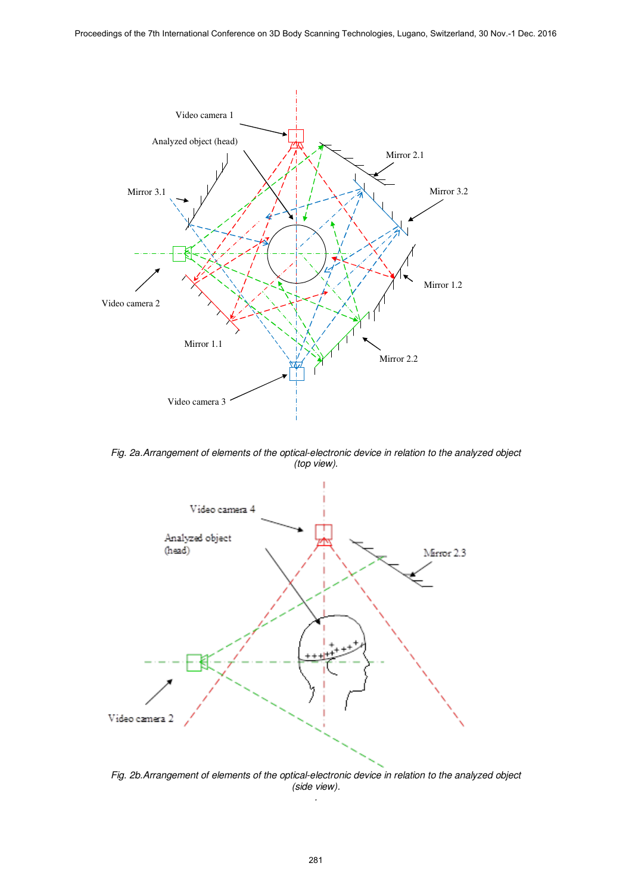

Fig. 2*а*.Arrangement of elements of the optical-electronic device in relation to the analyzed object (top view).



Fig. 2b.Arrangement of elements of the optical-electronic device in relation to the analyzed object (side view). .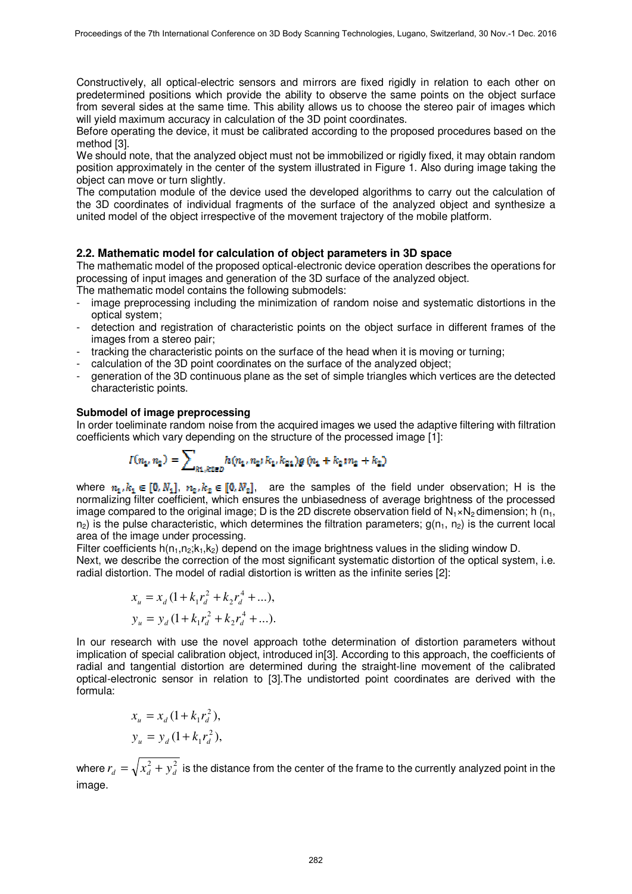Constructively, all optical-electric sensors and mirrors are fixed rigidly in relation to each other on predetermined positions which provide the ability to observe the same points on the object surface from several sides at the same time. This ability allows us to choose the stereo pair of images which will yield maximum accuracy in calculation of the 3D point coordinates.

Before operating the device, it must be calibrated according to the proposed procedures based on the method [3].

We should note, that the analyzed object must not be immobilized or rigidly fixed, it may obtain random position approximately in the center of the system illustrated in Figure 1. Also during image taking the object can move or turn slightly.

The computation module of the device used the developed algorithms to carry out the calculation of the 3D coordinates of individual fragments of the surface of the analyzed object and synthesize a united model of the object irrespective of the movement trajectory of the mobile platform.

#### **2.2. Mathematic model for calculation of object parameters in 3D space**

The mathematic model of the proposed optical-electronic device operation describes the operations for processing of input images and generation of the 3D surface of the analyzed object.

The mathematic model contains the following submodels:

- image preprocessing including the minimization of random noise and systematic distortions in the optical system;
- detection and registration of characteristic points on the object surface in different frames of the images from a stereo pair;
- tracking the characteristic points on the surface of the head when it is moving or turning;
- calculation of the 3D point coordinates on the surface of the analyzed object;
- generation of the 3D continuous plane as the set of simple triangles which vertices are the detected characteristic points.

#### **Submodel of image preprocessing**

In order toeliminate random noise from the acquired images we used the adaptive filtering with filtration coefficients which vary depending on the structure of the processed image [1]:

$$
I(n_1, n_2) = \sum\nolimits_{k1, k2 \in D} h(n_1, n_2; k_1, k_{21}) g(n_1 + k_2; n_2 + k_2)
$$

where  $n_1, k_1 \in [0, N_1], n_2, k_2 \in [0, N_2],$  are the samples of the field under observation; H is the normalizing filter coefficient, which ensures the unbiasedness of average brightness of the processed image compared to the original image; D is the 2D discrete observation field of  $N_1 \times N_2$  dimension; h (n<sub>1</sub>,  $n_2$ ) is the pulse characteristic, which determines the filtration parameters;  $g(n_1, n_2)$  is the current local area of the image under processing.

Filter coefficients  $h(n_1, n_2; k_1, k_2)$  depend on the image brightness values in the sliding window D. Next, we describe the correction of the most significant systematic distortion of the optical system, i.e. radial distortion. The model of radial distortion is written as the infinite series [2]:

$$
x_u = x_d (1 + k_1 r_d^2 + k_2 r_d^4 + \dots),
$$
  
\n
$$
y_u = y_d (1 + k_1 r_d^2 + k_2 r_d^4 + \dots).
$$

In our research with use the novel approach tothe determination of distortion parameters without implication of special calibration object, introduced in[3]. According to this approach, the coefficients of radial and tangential distortion are determined during the straight-line movement of the calibrated optical-electronic sensor in relation to [3].The undistorted point coordinates are derived with the formula:

$$
x_u = x_d (1 + k_1 r_d^2),
$$
  

$$
y_u = y_d (1 + k_1 r_d^2),
$$

where  $r_d=\sqrt{x_d^2+y_d^2}$  is the distance from the center of the frame to the currently analyzed point in the image.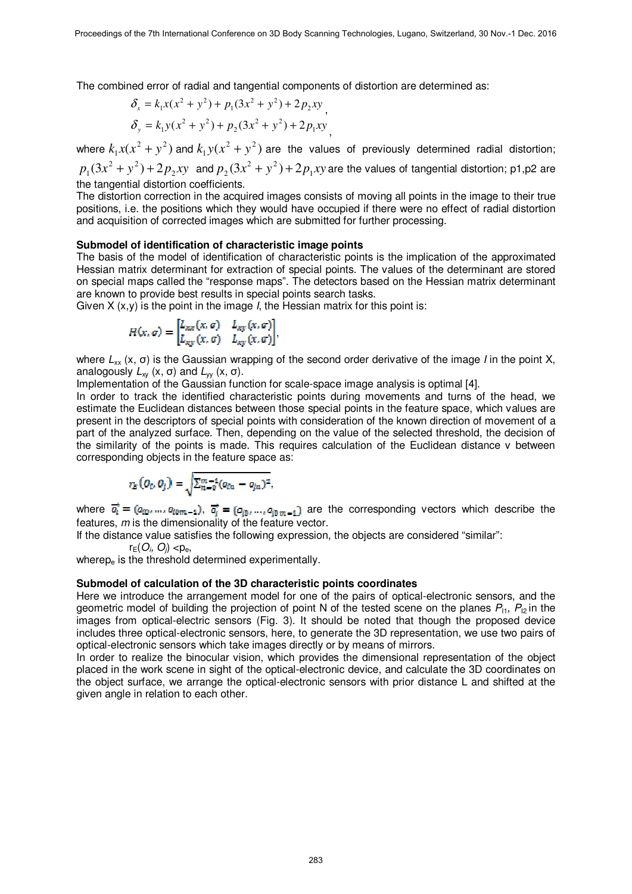The combined error of radial and tangential components of distortion are determined as:

$$
\delta_x = k_1 x (x^2 + y^2) + p_1 (3x^2 + y^2) + 2 p_2 xy
$$
\n
$$
\delta_y = k_1 y (x^2 + y^2) + p_2 (3x^2 + y^2) + 2 p_1 xy
$$

where  $k_1x(x^2 + y^2)$  and  $k_1y(x^2 + y^2)$  are the values of previously determined radial distortion;  $p_1(3x^2 + y^2) + 2p_2xy$  and  $p_2(3x^2 + y^2) + 2p_1xy$  are the values of tangential distortion; p1,p2 are the tangential distortion coefficients.

The distortion correction in the acquired images consists of moving all points in the image to their true positions, i.e. the positions which they would have occupied if there were no effect of radial distortion and acquisition of corrected images which are submitted for further processing.

#### **Submodel of identification of characteristic image points**

The basis of the model of identification of characteristic points is the implication of the approximated Hessian matrix determinant for extraction of special points. The values of the determinant are stored on special maps called the "response maps". The detectors based on the Hessian matrix determinant are known to provide best results in special points search tasks.

Given  $X(x, y)$  is the point in the image *I*, the Hessian matrix for this point is:

$$
H(x, \sigma) = \begin{bmatrix} L_{xx}(x, \sigma) & L_{xy}(x, \sigma) \\ L_{xy}(x, \sigma) & L_{xy}(x, \sigma) \end{bmatrix},
$$

where  $L_{xx}$  (x,  $\sigma$ ) is the Gaussian wrapping of the second order derivative of the image *I* in the point X, analogously  $L_{\rm w}$  (x, σ) and  $L_{\rm w}$  (x, σ).

Implementation of the Gaussian function for scale-space image analysis is optimal [4].

In order to track the identified characteristic points during movements and turns of the head, we estimate the Euclidean distances between those special points in the feature space, which values are present in the descriptors of special points with consideration of the known direction of movement of a part of the analyzed surface. Then, depending on the value of the selected threshold, the decision of the similarity of the points is made. This requires calculation of the Euclidean distance v between corresponding objects in the feature space as:

$$
r_E(Q_i, Q_j) = \sqrt{\sum_{n=0}^{m-1} (q_{in} - q_{jn})^2},
$$

where  $\vec{q}_i = (q_{i0},...,q_{i0m-1}), \vec{q}_i = (q_{i0},...,q_{i0m-1})$  are the corresponding vectors which describe the features, m is the dimensionality of the feature vector.

If the distance value satisfies the following expression, the objects are considered "similar":

 $r_E(O_i, O_j) < p_e$ 

wherep $_{\rm e}$  is the threshold determined experimentally.

#### **Submodel of calculation of the 3D characteristic points coordinates**

Here we introduce the arrangement model for one of the pairs of optical-electronic sensors, and the geometric model of building the projection of point N of the tested scene on the planes  $P_{11}$ ,  $P_{12}$  in the images from optical-electric sensors (Fig. 3). It should be noted that though the proposed device includes three optical-electronic sensors, here, to generate the 3D representation, we use two pairs of optical-electronic sensors which take images directly or by means of mirrors.

In order to realize the binocular vision, which provides the dimensional representation of the object placed in the work scene in sight of the optical-electronic device, and calculate the 3D coordinates on the object surface, we arrange the optical-electronic sensors with prior distance L and shifted at the given angle in relation to each other.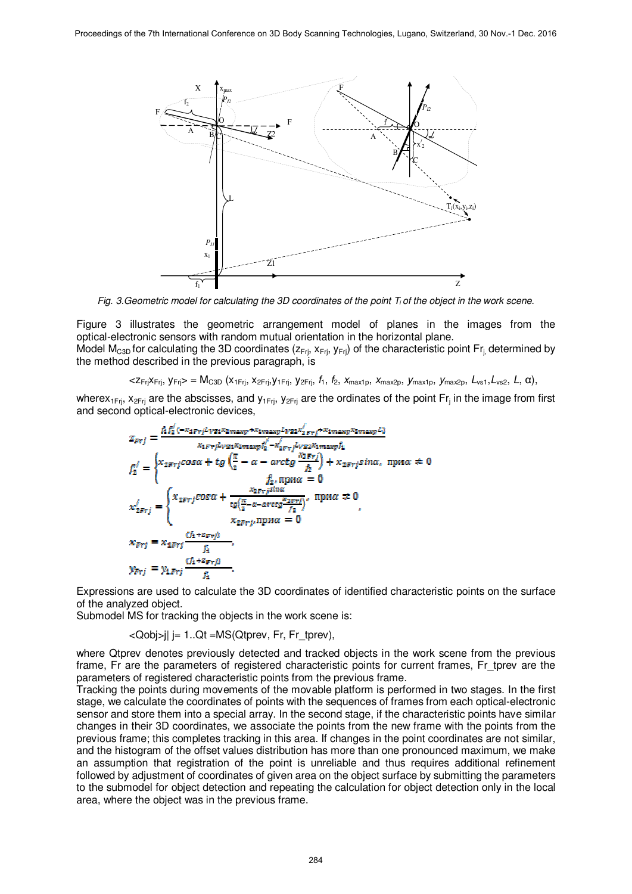

Fig. 3. Geometric model for calculating the 3D coordinates of the point  $T_i$  of the object in the work scene.

Figure 3 illustrates the geometric arrangement model of planes in the images from the optical-electronic sensors with random mutual orientation in the horizontal plane.

Model M<sub>C3D</sub> for calculating the 3D coordinates ( $z_{Fi}$ ,  $x_{Fi}$ ,  $y_{Fi}$ ) of the characteristic point Fr<sub>i</sub> determined by the method described in the previous paragraph, is

 $\langle z_{\text{Fri}} \chi_{\text{Fri}} \rangle = M_{\text{C3D}} \left( x_{\text{1Fri}}, x_{\text{2Fri}}, y_{\text{1Fri}}, y_{\text{2Fri}}, f_1, f_2, x_{\text{max1D}}, x_{\text{max2D}}, y_{\text{max1D}}, y_{\text{max2D}}, L_{\text{NS1}}, L_{\text{NS2}}, L, \alpha \right)$ 

wherex<sub>1Frj</sub>, x<sub>2Frj</sub> are the abscisses, and y<sub>1Frj</sub>, y<sub>2Frj</sub> are the ordinates of the point Fr<sub>j</sub> in the image from first and second optical-electronic devices,

$$
z_{\text{F}rj} = \frac{\hbar f_2^2 (-x_{4\text{F}rj}L_{\text{VSI}}x_{2\text{maxp}} + x_{1\text{maxp}}L_{\text{VSI}}x_{2\text{maxp}}L)}{x_{4\text{F}rj}L_{\text{VSI}}x_{2\text{maxp}}f_2^2 - x_{2\text{F}rj}^2L_{\text{VSI}}x_{3\text{maxp}}f_1}
$$
\n
$$
f_2^j = \begin{cases} x_{2\text{F}rj}cos\alpha + tg\left(\frac{\pi}{2} - \alpha - arctg\frac{x_{2\text{F}rj}}{f_2}\right) + x_{2\text{F}rj}sin\alpha, \text{ mpr}\alpha \neq 0\\ f_2, \text{ mpr}\alpha = 0 \end{cases}
$$
\n
$$
x_{2\text{F}rj}^j = \begin{cases} x_{2\text{F}rj}cos\alpha + \frac{x_{2\text{F}rj}sin\alpha}{tg\left(\frac{\pi}{2} - \alpha - arctg\frac{x_{2\text{F}rj}}{f_2}\right)}, \text{ mpr}\alpha \neq 0\\ x_{2\text{F}rj} = x_{4\text{F}rj} \frac{(f_1 + z_{\text{F}rj})}{f_1},\\ f_2, \text{ mpr}\alpha = 0 \end{cases}
$$
\n
$$
x_{\text{F}rj} = x_{4\text{F}rj} \frac{(f_1 + z_{\text{F}rj})}{f_1},
$$

Expressions are used to calculate the 3D coordinates of identified characteristic points on the surface of the analyzed object.

Submodel MS for tracking the objects in the work scene is:

<Qobj>j| j= 1..Qt =MS(Qtprev, Fr, Fr\_tprev),

where Qtprev denotes previously detected and tracked objects in the work scene from the previous frame, Fr are the parameters of registered characteristic points for current frames, Fr\_tprev are the parameters of registered characteristic points from the previous frame.

Tracking the points during movements of the movable platform is performed in two stages. In the first stage, we calculate the coordinates of points with the sequences of frames from each optical-electronic sensor and store them into a special array. In the second stage, if the characteristic points have similar changes in their 3D coordinates, we associate the points from the new frame with the points from the previous frame; this completes tracking in this area. If changes in the point coordinates are not similar, and the histogram of the offset values distribution has more than one pronounced maximum, we make an assumption that registration of the point is unreliable and thus requires additional refinement followed by adjustment of coordinates of given area on the object surface by submitting the parameters to the submodel for object detection and repeating the calculation for object detection only in the local area, where the object was in the previous frame.